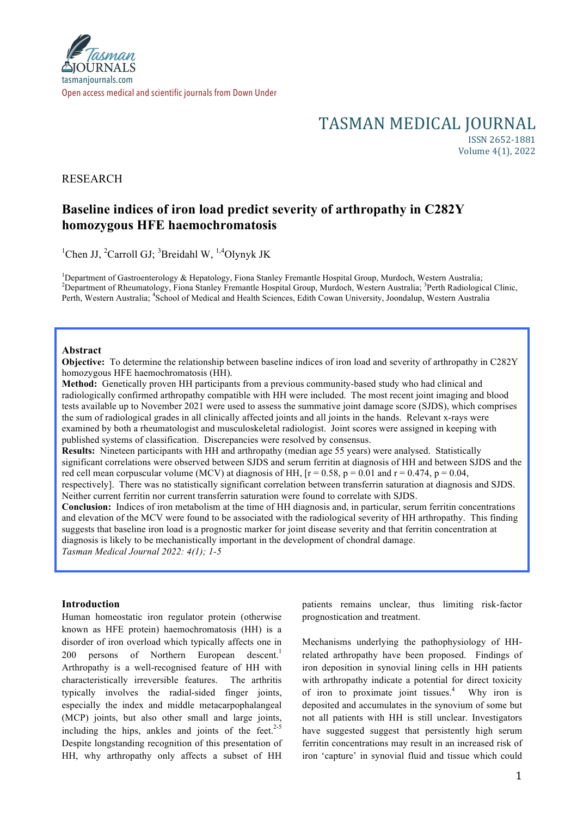# TASMAN MEDICAL JOURNAL

ISSN 2652-1881 Volume 4(1), 2022

## RESEARCH

# **Baseline indices of iron load predict severity of arthropathy in C282Y homozygous HFE haemochromatosis**

<sup>1</sup>Chen JJ, <sup>2</sup>Carroll GJ; <sup>3</sup>Breidahl W, <sup>1,4</sup>Olynyk JK

<sup>1</sup>Department of Gastroenterology & Hepatology, Fiona Stanley Fremantle Hospital Group, Murdoch, Western Australia; <sup>2</sup>Department of Phoumatology, Fiona Stanley Fremantle Hospital Group, Murdoch, Western Australia; <sup>2</sup>Depa Department of Rheumatology, Fiona Stanley Fremantle Hospital Group, Murdoch, Western Australia; <sup>3</sup>Perth Radiological Clinic, Perth, Western Australia; <sup>4</sup>School of Medical and Health Sciences, Edith Cowan University, Joondalup, Western Australia

#### **Abstract**

**Objective:** To determine the relationship between baseline indices of iron load and severity of arthropathy in C282Y homozygous HFE haemochromatosis (HH).

**Method:** Genetically proven HH participants from a previous community-based study who had clinical and radiologically confirmed arthropathy compatible with HH were included. The most recent joint imaging and blood tests available up to November 2021 were used to assess the summative joint damage score (SJDS), which comprises the sum of radiological grades in all clinically affected joints and all joints in the hands. Relevant x-rays were examined by both a rheumatologist and musculoskeletal radiologist. Joint scores were assigned in keeping with published systems of classification. Discrepancies were resolved by consensus.

**Results:** Nineteen participants with HH and arthropathy (median age 55 years) were analysed. Statistically significant correlations were observed between SJDS and serum ferritin at diagnosis of HH and between SJDS and the red cell mean corpuscular volume (MCV) at diagnosis of HH,  $[r = 0.58, p = 0.01$  and  $r = 0.474, p = 0.04$ , respectively]. There was no statistically significant correlation between transferrin saturation at diagnosis and SJDS. Neither current ferritin nor current transferrin saturation were found to correlate with SJDS.

**Conclusion:** Indices of iron metabolism at the time of HH diagnosis and, in particular, serum ferritin concentrations and elevation of the MCV were found to be associated with the radiological severity of HH arthropathy. This finding suggests that baseline iron load is a prognostic marker for joint disease severity and that ferritin concentration at diagnosis is likely to be mechanistically important in the development of chondral damage. *Tasman Medical Journal 2022: 4(1); 1-5*

### **Introduction**

Human homeostatic iron regulator protein (otherwise known as HFE protein) haemochromatosis (HH) is a disorder of iron overload which typically affects one in 200 persons of Northern European descent.<sup>1</sup> Arthropathy is a well-recognised feature of HH with characteristically irreversible features. The arthritis typically involves the radial-sided finger joints, especially the index and middle metacarpophalangeal (MCP) joints, but also other small and large joints, including the hips, ankles and joints of the feet. $2-5$ Despite longstanding recognition of this presentation of HH, why arthropathy only affects a subset of HH

patients remains unclear, thus limiting risk-factor prognostication and treatment.

Mechanisms underlying the pathophysiology of HHrelated arthropathy have been proposed. Findings of iron deposition in synovial lining cells in HH patients with arthropathy indicate a potential for direct toxicity of iron to proximate joint tissues.<sup>4</sup> Why iron is deposited and accumulates in the synovium of some but not all patients with HH is still unclear. Investigators have suggested suggest that persistently high serum ferritin concentrations may result in an increased risk of iron 'capture' in synovial fluid and tissue which could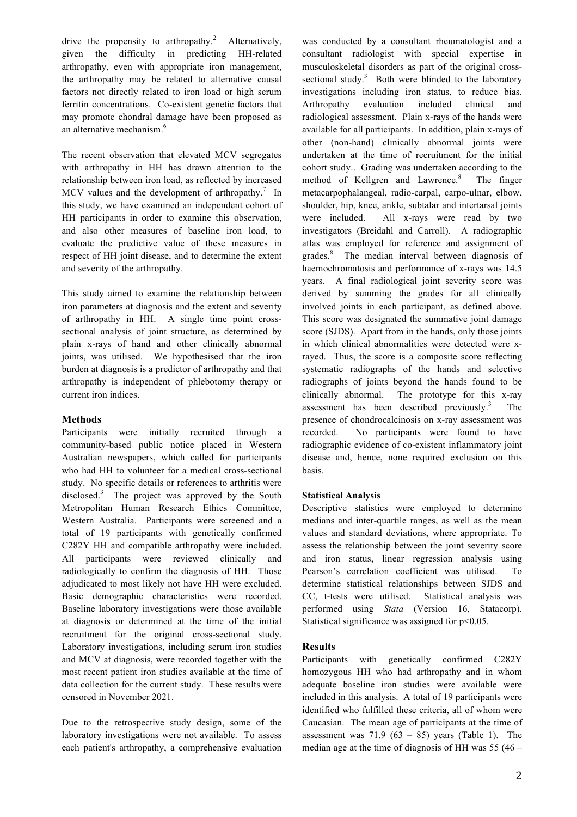drive the propensity to arthropathy.<sup>2</sup> Alternatively, given the difficulty in predicting HH-related arthropathy, even with appropriate iron management, the arthropathy may be related to alternative causal factors not directly related to iron load or high serum ferritin concentrations. Co-existent genetic factors that may promote chondral damage have been proposed as an alternative mechanism. 6

The recent observation that elevated MCV segregates with arthropathy in HH has drawn attention to the relationship between iron load, as reflected by increased MCV values and the development of arthropathy.<sup>7</sup> In this study, we have examined an independent cohort of HH participants in order to examine this observation, and also other measures of baseline iron load, to evaluate the predictive value of these measures in respect of HH joint disease, and to determine the extent and severity of the arthropathy.

This study aimed to examine the relationship between iron parameters at diagnosis and the extent and severity of arthropathy in HH. A single time point crosssectional analysis of joint structure, as determined by plain x-rays of hand and other clinically abnormal joints, was utilised. We hypothesised that the iron burden at diagnosis is a predictor of arthropathy and that arthropathy is independent of phlebotomy therapy or current iron indices.

### **Methods**

Participants were initially recruited through a community-based public notice placed in Western Australian newspapers, which called for participants who had HH to volunteer for a medical cross-sectional study. No specific details or references to arthritis were disclosed. <sup>3</sup> The project was approved by the South Metropolitan Human Research Ethics Committee, Western Australia. Participants were screened and a total of 19 participants with genetically confirmed C282Y HH and compatible arthropathy were included. All participants were reviewed clinically and radiologically to confirm the diagnosis of HH. Those adjudicated to most likely not have HH were excluded. Basic demographic characteristics were recorded. Baseline laboratory investigations were those available at diagnosis or determined at the time of the initial recruitment for the original cross-sectional study. Laboratory investigations, including serum iron studies and MCV at diagnosis, were recorded together with the most recent patient iron studies available at the time of data collection for the current study. These results were censored in November 2021.

Due to the retrospective study design, some of the laboratory investigations were not available. To assess each patient's arthropathy, a comprehensive evaluation was conducted by a consultant rheumatologist and a consultant radiologist with special expertise in musculoskeletal disorders as part of the original crosssectional study. $3$  Both were blinded to the laboratory investigations including iron status, to reduce bias. Arthropathy evaluation included clinical and radiological assessment. Plain x-rays of the hands were available for all participants. In addition, plain x-rays of other (non-hand) clinically abnormal joints were undertaken at the time of recruitment for the initial cohort study.. Grading was undertaken according to the method of Kellgren and Lawrence. The finger metacarpophalangeal, radio-carpal, carpo-ulnar, elbow, shoulder, hip, knee, ankle, subtalar and intertarsal joints were included. All x-rays were read by two investigators (Breidahl and Carroll). A radiographic atlas was employed for reference and assignment of grades.<sup>8</sup> The median interval between diagnosis of haemochromatosis and performance of x-rays was 14.5 years. A final radiological joint severity score was derived by summing the grades for all clinically involved joints in each participant, as defined above. This score was designated the summative joint damage score (SJDS). Apart from in the hands, only those joints in which clinical abnormalities were detected were xrayed. Thus, the score is a composite score reflecting systematic radiographs of the hands and selective radiographs of joints beyond the hands found to be clinically abnormal. The prototype for this x-ray assessment has been described previously.<sup>3</sup> **The** presence of chondrocalcinosis on x-ray assessment was recorded. No participants were found to have radiographic evidence of co-existent inflammatory joint disease and, hence, none required exclusion on this basis.

### **Statistical Analysis**

Descriptive statistics were employed to determine medians and inter-quartile ranges, as well as the mean values and standard deviations, where appropriate. To assess the relationship between the joint severity score and iron status, linear regression analysis using Pearson's correlation coefficient was utilised. To determine statistical relationships between SJDS and CC, t-tests were utilised. Statistical analysis was performed using *Stata* (Version 16, Statacorp). Statistical significance was assigned for  $p<0.05$ .

### **Results**

Participants with genetically confirmed C282Y homozygous HH who had arthropathy and in whom adequate baseline iron studies were available were included in this analysis. A total of 19 participants were identified who fulfilled these criteria, all of whom were Caucasian. The mean age of participants at the time of assessment was  $71.9$  (63 – 85) years (Table 1). The median age at the time of diagnosis of HH was 55 (46 –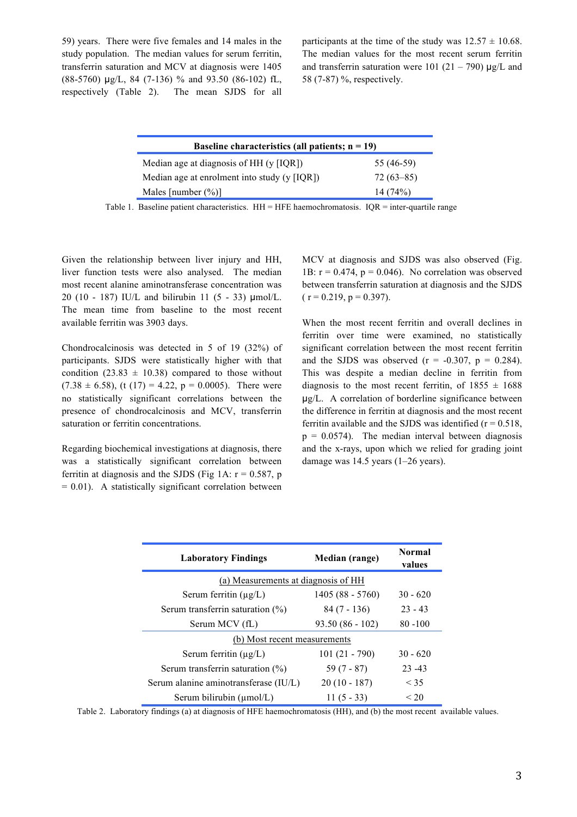59) years. There were five females and 14 males in the study population. The median values for serum ferritin, transferrin saturation and MCV at diagnosis were 1405 (88-5760) µg/L, 84 (7-136) % and 93.50 (86-102) fL, respectively (Table 2). The mean SJDS for all participants at the time of the study was  $12.57 \pm 10.68$ . The median values for the most recent serum ferritin and transferrin saturation were 101 (21 – 790)  $\mu$ g/L and 58 (7-87) %, respectively.

| Baseline characteristics (all patients; $n = 19$ ) |             |  |
|----------------------------------------------------|-------------|--|
| Median age at diagnosis of HH (y [IQR])            | 55 (46-59)  |  |
| Median age at enrolment into study $(y   IQR)$     | $72(63-85)$ |  |
| Males [number $(\%)$ ]                             | 14(74%)     |  |
|                                                    |             |  |

Table 1. Baseline patient characteristics.  $HH = HFE$  haemochromatosis.  $IQR =$  inter-quartile range

Given the relationship between liver injury and HH, liver function tests were also analysed. The median most recent alanine aminotransferase concentration was 20 (10 - 187) IU/L and bilirubin 11 (5 - 33) µmol/L. The mean time from baseline to the most recent available ferritin was 3903 days.

Chondrocalcinosis was detected in 5 of 19 (32%) of participants. SJDS were statistically higher with that condition (23.83  $\pm$  10.38) compared to those without  $(7.38 \pm 6.58)$ , (t (17) = 4.22, p = 0.0005). There were no statistically significant correlations between the presence of chondrocalcinosis and MCV, transferrin saturation or ferritin concentrations.

Regarding biochemical investigations at diagnosis, there was a statistically significant correlation between ferritin at diagnosis and the SJDS (Fig 1A:  $r = 0.587$ , p  $= 0.01$ ). A statistically significant correlation between

MCV at diagnosis and SJDS was also observed (Fig. 1B:  $r = 0.474$ ,  $p = 0.046$ ). No correlation was observed between transferrin saturation at diagnosis and the SJDS  $(r = 0.219, p = 0.397).$ 

When the most recent ferritin and overall declines in ferritin over time were examined, no statistically significant correlation between the most recent ferritin and the SJDS was observed  $(r = -0.307, p = 0.284)$ . This was despite a median decline in ferritin from diagnosis to the most recent ferritin, of  $1855 \pm 1688$ µg/L. A correlation of borderline significance between the difference in ferritin at diagnosis and the most recent ferritin available and the SJDS was identified  $(r = 0.518)$ ,  $p = 0.0574$ . The median interval between diagnosis and the x-rays, upon which we relied for grading joint damage was 14.5 years (1–26 years).

| <b>Laboratory Findings</b>            | Median (range)    | <b>Normal</b><br>values |
|---------------------------------------|-------------------|-------------------------|
| (a) Measurements at diagnosis of HH   |                   |                         |
| Serum ferritin $(\mu g/L)$            | $1405(88 - 5760)$ | $30 - 620$              |
| Serum transferrin saturation $(\% )$  | $84(7 - 136)$     | $23 - 43$               |
| Serum MCV (fL)                        | $93.50(86 - 102)$ | $80 - 100$              |
| (b) Most recent measurements          |                   |                         |
| Serum ferritin $(\mu g/L)$            | $101(21 - 790)$   | $30 - 620$              |
| Serum transferrin saturation $(\% )$  | $59(7 - 87)$      | $23 - 43$               |
| Serum alanine aminotransferase (IU/L) | $20(10 - 187)$    | < 35                    |
| Serum bilirubin (µmol/L)              | $11(5 - 33)$      | ${}_{20}$               |

Table 2. Laboratory findings (a) at diagnosis of HFE haemochromatosis (HH), and (b) the most recent available values.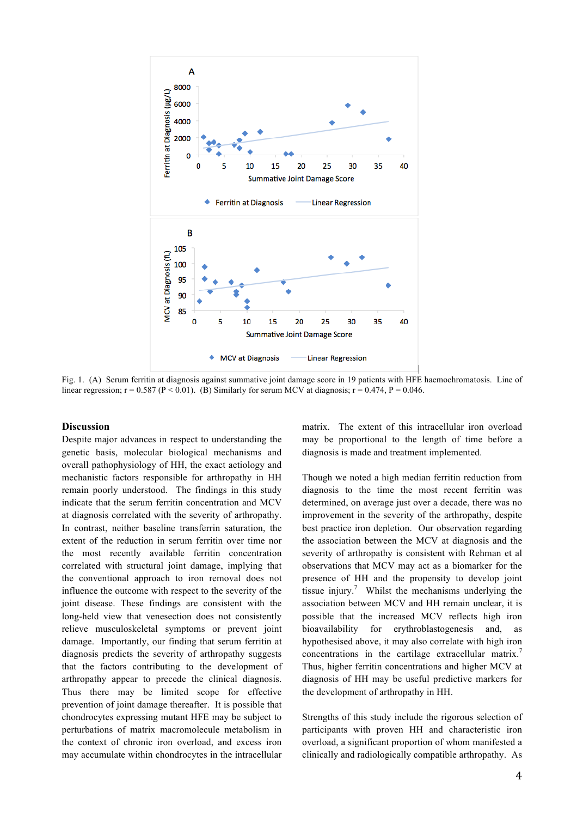

Fig. 1. (A) Serum ferritin at diagnosis against summative joint damage score in 19 patients with HFE haemochromatosis. Line of linear regression;  $r = 0.587$  (P < 0.01). (B) Similarly for serum MCV at diagnosis;  $r = 0.474$ , P = 0.046.

#### **Discussion**

Despite major advances in respect to understanding the genetic basis, molecular biological mechanisms and overall pathophysiology of HH, the exact aetiology and mechanistic factors responsible for arthropathy in HH remain poorly understood. The findings in this study indicate that the serum ferritin concentration and MCV at diagnosis correlated with the severity of arthropathy. In contrast, neither baseline transferrin saturation, the extent of the reduction in serum ferritin over time nor the most recently available ferritin concentration correlated with structural joint damage, implying that the conventional approach to iron removal does not influence the outcome with respect to the severity of the joint disease. These findings are consistent with the long-held view that venesection does not consistently relieve musculoskeletal symptoms or prevent joint damage. Importantly, our finding that serum ferritin at diagnosis predicts the severity of arthropathy suggests that the factors contributing to the development of arthropathy appear to precede the clinical diagnosis. Thus there may be limited scope for effective prevention of joint damage thereafter. It is possible that chondrocytes expressing mutant HFE may be subject to perturbations of matrix macromolecule metabolism in the context of chronic iron overload, and excess iron may accumulate within chondrocytes in the intracellular

matrix. The extent of this intracellular iron overload may be proportional to the length of time before a diagnosis is made and treatment implemented.

Though we noted a high median ferritin reduction from diagnosis to the time the most recent ferritin was determined, on average just over a decade, there was no improvement in the severity of the arthropathy, despite best practice iron depletion. Our observation regarding the association between the MCV at diagnosis and the severity of arthropathy is consistent with Rehman et al observations that MCV may act as a biomarker for the presence of HH and the propensity to develop joint tissue injury. <sup>7</sup> Whilst the mechanisms underlying the association between MCV and HH remain unclear, it is possible that the increased MCV reflects high iron bioavailability for erythroblastogenesis and, as hypothesised above, it may also correlate with high iron concentrations in the cartilage extracellular matrix.<sup>7</sup> Thus, higher ferritin concentrations and higher MCV at diagnosis of HH may be useful predictive markers for the development of arthropathy in HH.

Strengths of this study include the rigorous selection of participants with proven HH and characteristic iron overload, a significant proportion of whom manifested a clinically and radiologically compatible arthropathy. As